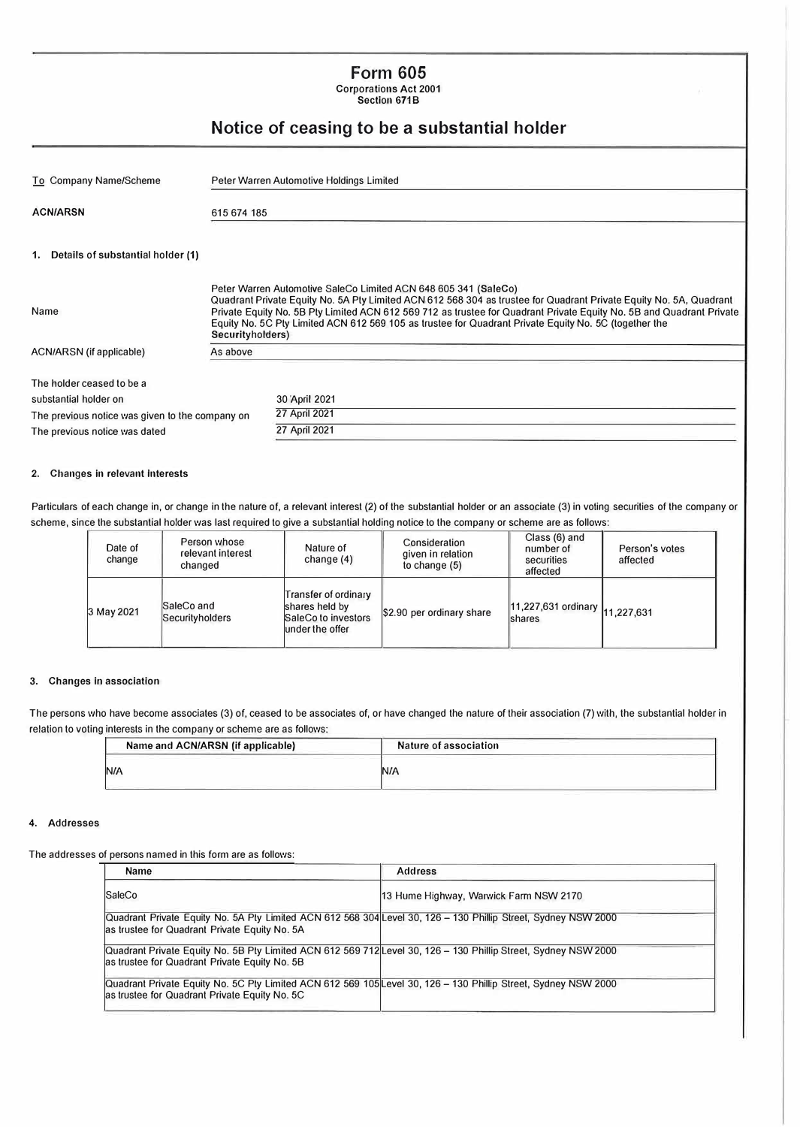### **Form 605**  Corporations Act 2001

Section 671B

## **Notice of ceasing to be a substantial holder**

| To Company Name/Scheme                          |                  | Peter Warren Automotive Holdings Limited                                                                                                                                                                                                                                                                                                                                                                               |  |  |
|-------------------------------------------------|------------------|------------------------------------------------------------------------------------------------------------------------------------------------------------------------------------------------------------------------------------------------------------------------------------------------------------------------------------------------------------------------------------------------------------------------|--|--|
| <b>ACN/ARSN</b>                                 | 615 674 185      |                                                                                                                                                                                                                                                                                                                                                                                                                        |  |  |
| 1. Details of substantial holder (1)            |                  |                                                                                                                                                                                                                                                                                                                                                                                                                        |  |  |
| Name                                            | Securityholders) | Peter Warren Automotive SaleCo Limited ACN 648 605 341 (SaleCo)<br>Quadrant Private Equity No. 5A Pty Limited ACN 612 568 304 as trustee for Quadrant Private Equity No. 5A, Quadrant<br>Private Equity No. 5B Pty Limited ACN 612 569 712 as trustee for Quadrant Private Equity No. 5B and Quadrant Private<br>Equity No. 5C Pty Limited ACN 612 569 105 as trustee for Quadrant Private Equity No. 5C (together the |  |  |
| ACN/ARSN (if applicable)                        | As above         |                                                                                                                                                                                                                                                                                                                                                                                                                        |  |  |
| The holder ceased to be a                       |                  |                                                                                                                                                                                                                                                                                                                                                                                                                        |  |  |
| substantial holder on                           |                  | 30 April 2021                                                                                                                                                                                                                                                                                                                                                                                                          |  |  |
| The previous notice was given to the company on |                  | 27 April 2021                                                                                                                                                                                                                                                                                                                                                                                                          |  |  |
| The previous notice was dated                   |                  | 27 April 2021                                                                                                                                                                                                                                                                                                                                                                                                          |  |  |

#### 2. Changes in relevant interests

Particulars of each change in, or change in the nature of, a relevant interest (2) of the substantial holder or an associate (3) in voting securities of the company or scheme, since the substantial holder was last required to give a substantial holding notice to the company or scheme are as follows:

| Date of<br>change | Person whose<br>relevant interest<br>changed | Nature of<br>change $(4)$                                                        | Consideration<br>given in relation<br>to change $(5)$ | Class (6) and<br>number of<br>securities<br>affected | Person's votes<br>affected |
|-------------------|----------------------------------------------|----------------------------------------------------------------------------------|-------------------------------------------------------|------------------------------------------------------|----------------------------|
| 3 May 2021        | SaleCo and<br>Securityholders                | Transfer of ordinary<br>shares held by<br>SaleCo to investors<br>under the offer | \$2.90 per ordinary share                             | 11,227,631 ordinary 11,227,631<br><b>Ishares</b>     |                            |

#### **3. Changes in association**

The persons who have become associates (3) of, ceased to be associates of, or have changed the nature of their association (7) with, the substantial holder in relation to voting interests in the company or scheme are as follows:

| Name and ACN/ARSN (if applicable) | Nature of association |  |
|-----------------------------------|-----------------------|--|
|                                   | <b>N/A</b>            |  |

#### 4. Addresses

The addresses of persons named in this form are as follows:

| <b>Name</b>                                                                                                    | <b>Address</b>                         |
|----------------------------------------------------------------------------------------------------------------|----------------------------------------|
| <b>SaleCo</b>                                                                                                  | 13 Hume Highway, Warwick Farm NSW 2170 |
| Quadrant Private Equity No. 5A Pty Limited ACN 612 568 304 Level 30, 126 - 130 Phillip Street, Sydney NSW 2000 |                                        |
| as trustee for Quadrant Private Equity No. 5A                                                                  |                                        |
| Quadrant Private Equity No. 5B Pty Limited ACN 612 569 712 Level 30, 126 - 130 Phillip Street, Sydney NSW 2000 |                                        |
| as trustee for Quadrant Private Equity No. 5B                                                                  |                                        |
| Quadrant Private Equity No. 5C Pty Limited ACN 612 569 105 Level 30, 126 - 130 Phillip Street, Sydney NSW 2000 |                                        |
| as trustee for Quadrant Private Equity No. 5C                                                                  |                                        |
|                                                                                                                |                                        |